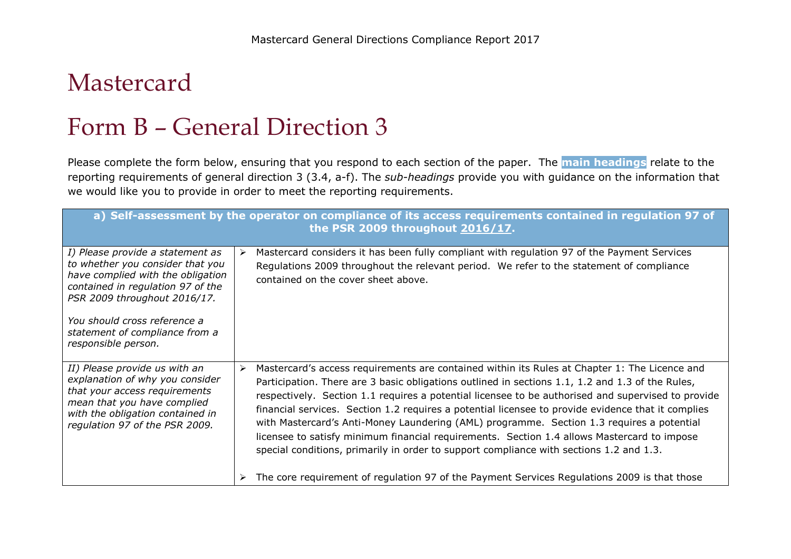## Mastercard

## Form B – General Direction 3

Please complete the form below, ensuring that you respond to each section of the paper. The **main headings** relate to the reporting requirements of general direction 3 (3.4, a-f). The *sub-headings* provide you with guidance on the information that we would like you to provide in order to meet the reporting requirements.

| a) Self-assessment by the operator on compliance of its access requirements contained in regulation 97 of<br>the PSR 2009 throughout 2016/17.                                                                                                                           |                                                                                                                                                                                                                                                                                                                                                                                                                                                                                                                                                                                                                                                                                                                                                                                                           |  |
|-------------------------------------------------------------------------------------------------------------------------------------------------------------------------------------------------------------------------------------------------------------------------|-----------------------------------------------------------------------------------------------------------------------------------------------------------------------------------------------------------------------------------------------------------------------------------------------------------------------------------------------------------------------------------------------------------------------------------------------------------------------------------------------------------------------------------------------------------------------------------------------------------------------------------------------------------------------------------------------------------------------------------------------------------------------------------------------------------|--|
| I) Please provide a statement as<br>to whether you consider that you<br>have complied with the obligation<br>contained in regulation 97 of the<br>PSR 2009 throughout 2016/17.<br>You should cross reference a<br>statement of compliance from a<br>responsible person. | Mastercard considers it has been fully compliant with regulation 97 of the Payment Services<br>➤<br>Regulations 2009 throughout the relevant period. We refer to the statement of compliance<br>contained on the cover sheet above.                                                                                                                                                                                                                                                                                                                                                                                                                                                                                                                                                                       |  |
| II) Please provide us with an<br>explanation of why you consider<br>that your access requirements<br>mean that you have complied<br>with the obligation contained in<br>regulation 97 of the PSR 2009.                                                                  | Mastercard's access requirements are contained within its Rules at Chapter 1: The Licence and<br>≻<br>Participation. There are 3 basic obligations outlined in sections 1.1, 1.2 and 1.3 of the Rules,<br>respectively. Section 1.1 requires a potential licensee to be authorised and supervised to provide<br>financial services. Section 1.2 requires a potential licensee to provide evidence that it complies<br>with Mastercard's Anti-Money Laundering (AML) programme. Section 1.3 requires a potential<br>licensee to satisfy minimum financial requirements. Section 1.4 allows Mastercard to impose<br>special conditions, primarily in order to support compliance with sections 1.2 and 1.3.<br>The core requirement of regulation 97 of the Payment Services Regulations 2009 is that those |  |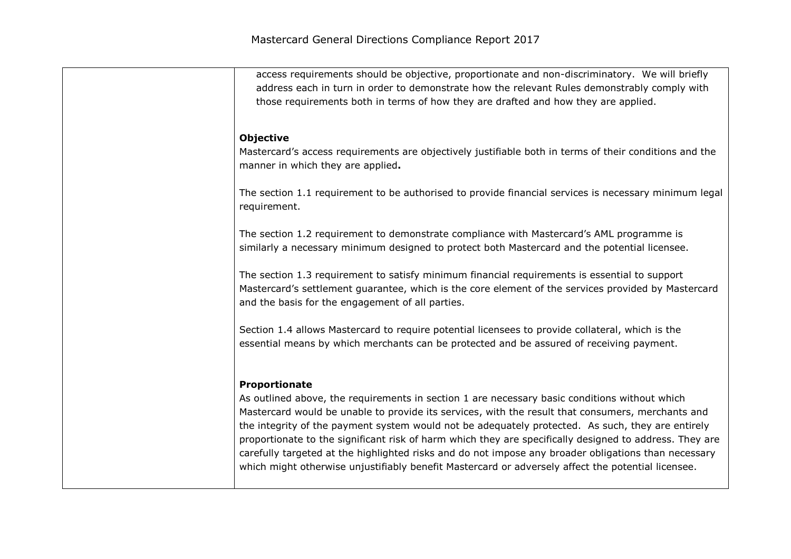| access requirements should be objective, proportionate and non-discriminatory. We will briefly<br>address each in turn in order to demonstrate how the relevant Rules demonstrably comply with<br>those requirements both in terms of how they are drafted and how they are applied.                                                                                                                                                                                                                                                                                                                                                              |
|---------------------------------------------------------------------------------------------------------------------------------------------------------------------------------------------------------------------------------------------------------------------------------------------------------------------------------------------------------------------------------------------------------------------------------------------------------------------------------------------------------------------------------------------------------------------------------------------------------------------------------------------------|
| <b>Objective</b><br>Mastercard's access requirements are objectively justifiable both in terms of their conditions and the<br>manner in which they are applied.                                                                                                                                                                                                                                                                                                                                                                                                                                                                                   |
| The section 1.1 requirement to be authorised to provide financial services is necessary minimum legal<br>requirement.                                                                                                                                                                                                                                                                                                                                                                                                                                                                                                                             |
| The section 1.2 requirement to demonstrate compliance with Mastercard's AML programme is<br>similarly a necessary minimum designed to protect both Mastercard and the potential licensee.                                                                                                                                                                                                                                                                                                                                                                                                                                                         |
| The section 1.3 requirement to satisfy minimum financial requirements is essential to support<br>Mastercard's settlement guarantee, which is the core element of the services provided by Mastercard<br>and the basis for the engagement of all parties.                                                                                                                                                                                                                                                                                                                                                                                          |
| Section 1.4 allows Mastercard to require potential licensees to provide collateral, which is the<br>essential means by which merchants can be protected and be assured of receiving payment.                                                                                                                                                                                                                                                                                                                                                                                                                                                      |
| Proportionate<br>As outlined above, the requirements in section 1 are necessary basic conditions without which<br>Mastercard would be unable to provide its services, with the result that consumers, merchants and<br>the integrity of the payment system would not be adequately protected. As such, they are entirely<br>proportionate to the significant risk of harm which they are specifically designed to address. They are<br>carefully targeted at the highlighted risks and do not impose any broader obligations than necessary<br>which might otherwise unjustifiably benefit Mastercard or adversely affect the potential licensee. |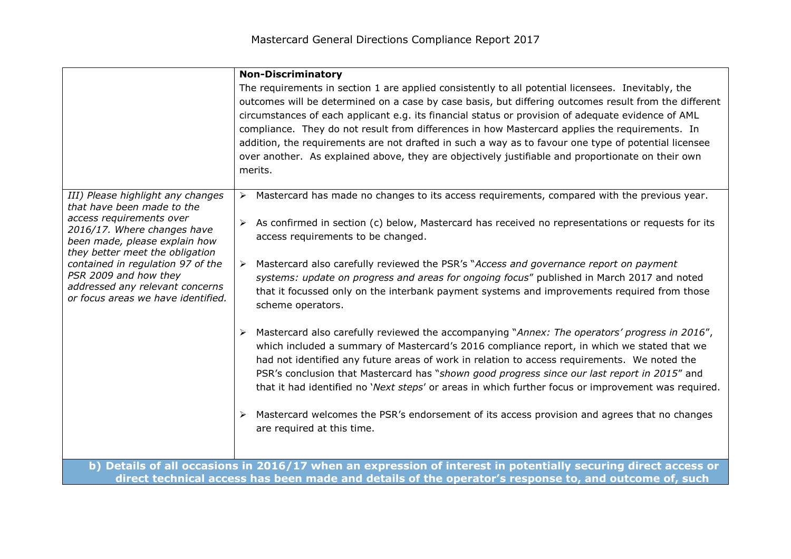|                                                                                                                                                                                                                                                                                                                                       | <b>Non-Discriminatory</b>                                                                                                                                                                                                                                                                                                                                                                                                                                                                                                                                                                                                                   |
|---------------------------------------------------------------------------------------------------------------------------------------------------------------------------------------------------------------------------------------------------------------------------------------------------------------------------------------|---------------------------------------------------------------------------------------------------------------------------------------------------------------------------------------------------------------------------------------------------------------------------------------------------------------------------------------------------------------------------------------------------------------------------------------------------------------------------------------------------------------------------------------------------------------------------------------------------------------------------------------------|
|                                                                                                                                                                                                                                                                                                                                       | The requirements in section 1 are applied consistently to all potential licensees. Inevitably, the<br>outcomes will be determined on a case by case basis, but differing outcomes result from the different<br>circumstances of each applicant e.g. its financial status or provision of adequate evidence of AML<br>compliance. They do not result from differences in how Mastercard applies the requirements. In<br>addition, the requirements are not drafted in such a way as to favour one type of potential licensee<br>over another. As explained above, they are objectively justifiable and proportionate on their own<br>merits. |
| III) Please highlight any changes<br>that have been made to the<br>access requirements over<br>2016/17. Where changes have<br>been made, please explain how<br>they better meet the obligation<br>contained in regulation 97 of the<br>PSR 2009 and how they<br>addressed any relevant concerns<br>or focus areas we have identified. | Mastercard has made no changes to its access requirements, compared with the previous year.                                                                                                                                                                                                                                                                                                                                                                                                                                                                                                                                                 |
|                                                                                                                                                                                                                                                                                                                                       | As confirmed in section (c) below, Mastercard has received no representations or requests for its<br>access requirements to be changed.                                                                                                                                                                                                                                                                                                                                                                                                                                                                                                     |
|                                                                                                                                                                                                                                                                                                                                       | Mastercard also carefully reviewed the PSR's "Access and governance report on payment<br>➤<br>systems: update on progress and areas for ongoing focus" published in March 2017 and noted<br>that it focussed only on the interbank payment systems and improvements required from those<br>scheme operators.                                                                                                                                                                                                                                                                                                                                |
|                                                                                                                                                                                                                                                                                                                                       | Mastercard also carefully reviewed the accompanying "Annex: The operators' progress in 2016",<br>➤<br>which included a summary of Mastercard's 2016 compliance report, in which we stated that we<br>had not identified any future areas of work in relation to access requirements. We noted the<br>PSR's conclusion that Mastercard has "shown good progress since our last report in 2015" and<br>that it had identified no 'Next steps' or areas in which further focus or improvement was required.                                                                                                                                    |
|                                                                                                                                                                                                                                                                                                                                       | Mastercard welcomes the PSR's endorsement of its access provision and agrees that no changes<br>➤<br>are required at this time.                                                                                                                                                                                                                                                                                                                                                                                                                                                                                                             |
|                                                                                                                                                                                                                                                                                                                                       | b) Details of all occasions in 2016/17 when an expression of interest in potentially securing direct access or<br>direct technical access has been made and details of the operator's response to, and outcome of, such                                                                                                                                                                                                                                                                                                                                                                                                                     |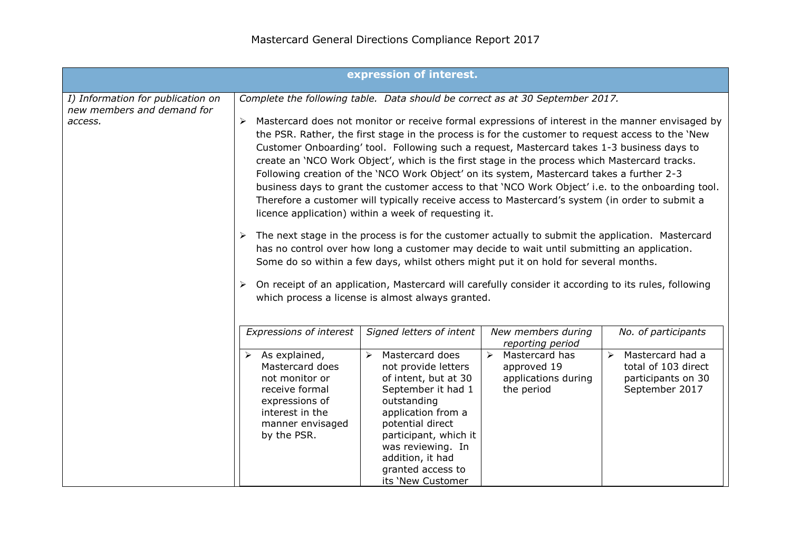|                                                                            |                                                                                                                                                                                                 | expression of interest.                                                                                                                                                                                                                                                                                                                                                                                                                                                                                                                                                                                                                                                                                                                                                                                                                                                                                                                                                                                                                                                                                                |                                                                                                                               |                                                                                                                                 |
|----------------------------------------------------------------------------|-------------------------------------------------------------------------------------------------------------------------------------------------------------------------------------------------|------------------------------------------------------------------------------------------------------------------------------------------------------------------------------------------------------------------------------------------------------------------------------------------------------------------------------------------------------------------------------------------------------------------------------------------------------------------------------------------------------------------------------------------------------------------------------------------------------------------------------------------------------------------------------------------------------------------------------------------------------------------------------------------------------------------------------------------------------------------------------------------------------------------------------------------------------------------------------------------------------------------------------------------------------------------------------------------------------------------------|-------------------------------------------------------------------------------------------------------------------------------|---------------------------------------------------------------------------------------------------------------------------------|
| I) Information for publication on<br>new members and demand for<br>access. | Complete the following table. Data should be correct as at 30 September 2017.<br>➤<br>➤                                                                                                         | the PSR. Rather, the first stage in the process is for the customer to request access to the 'New<br>Customer Onboarding' tool. Following such a request, Mastercard takes 1-3 business days to<br>create an 'NCO Work Object', which is the first stage in the process which Mastercard tracks.<br>Following creation of the 'NCO Work Object' on its system, Mastercard takes a further 2-3<br>business days to grant the customer access to that 'NCO Work Object' i.e. to the onboarding tool.<br>Therefore a customer will typically receive access to Mastercard's system (in order to submit a<br>licence application) within a week of requesting it.<br>The next stage in the process is for the customer actually to submit the application. Mastercard<br>has no control over how long a customer may decide to wait until submitting an application.<br>Some do so within a few days, whilst others might put it on hold for several months.<br>On receipt of an application, Mastercard will carefully consider it according to its rules, following<br>which process a license is almost always granted. |                                                                                                                               | Mastercard does not monitor or receive formal expressions of interest in the manner envisaged by                                |
|                                                                            | <b>Expressions of interest</b><br>$\triangleright$ As explained,<br>Mastercard does<br>not monitor or<br>receive formal<br>expressions of<br>interest in the<br>manner envisaged<br>by the PSR. | Signed letters of intent<br>Mastercard does<br>$\blacktriangleright$<br>not provide letters<br>of intent, but at 30<br>September it had 1<br>outstanding<br>application from a<br>potential direct<br>participant, which it<br>was reviewing. In<br>addition, it had<br>granted access to<br>its 'New Customer                                                                                                                                                                                                                                                                                                                                                                                                                                                                                                                                                                                                                                                                                                                                                                                                         | New members during<br>reporting period<br>$\triangleright$ Mastercard has<br>approved 19<br>applications during<br>the period | No. of participants<br>Mastercard had a<br>$\blacktriangleright$<br>total of 103 direct<br>participants on 30<br>September 2017 |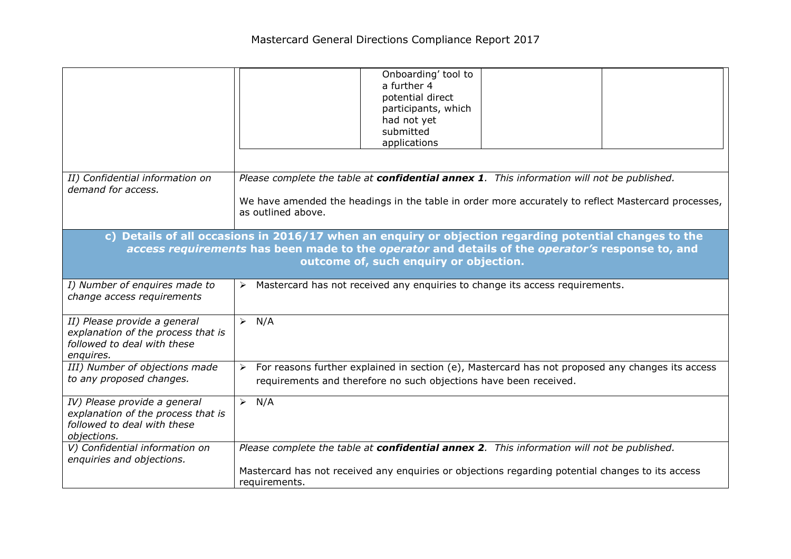|                                                                                                                                                                                                                                                                   | Onboarding' tool to<br>a further 4<br>potential direct<br>participants, which<br>had not yet<br>submitted<br>applications                                                                                               |
|-------------------------------------------------------------------------------------------------------------------------------------------------------------------------------------------------------------------------------------------------------------------|-------------------------------------------------------------------------------------------------------------------------------------------------------------------------------------------------------------------------|
| II) Confidential information on<br>demand for access.                                                                                                                                                                                                             | Please complete the table at confidential annex 1. This information will not be published.<br>We have amended the headings in the table in order more accurately to reflect Mastercard processes,<br>as outlined above. |
| Details of all occasions in 2016/17 when an enquiry or objection regarding potential changes to the<br>$\mathbf{c}$<br>access requirements has been made to the operator and details of the operator's response to, and<br>outcome of, such enquiry or objection. |                                                                                                                                                                                                                         |
| I) Number of enquires made to<br>change access requirements                                                                                                                                                                                                       | Mastercard has not received any enquiries to change its access requirements.<br>$\triangleright$                                                                                                                        |
| II) Please provide a general<br>explanation of the process that is<br>followed to deal with these<br>enquires.                                                                                                                                                    | N/A<br>$\blacktriangleright$                                                                                                                                                                                            |
| III) Number of objections made<br>to any proposed changes.                                                                                                                                                                                                        | For reasons further explained in section (e), Mastercard has not proposed any changes its access<br>➤<br>requirements and therefore no such objections have been received.                                              |
| IV) Please provide a general<br>explanation of the process that is<br>followed to deal with these<br>objections.                                                                                                                                                  | $\triangleright$ N/A                                                                                                                                                                                                    |
| V) Confidential information on<br>enquiries and objections.                                                                                                                                                                                                       | Please complete the table at confidential annex 2. This information will not be published.<br>Mastercard has not received any enquiries or objections regarding potential changes to its access<br>requirements.        |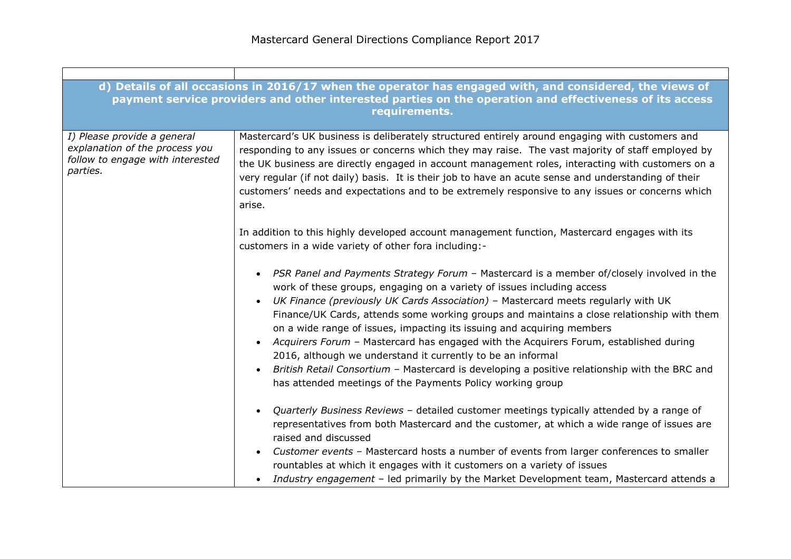|                                                                                                               | d) Details of all occasions in 2016/17 when the operator has engaged with, and considered, the views of<br>payment service providers and other interested parties on the operation and effectiveness of its access<br>requirements.                                                                                                                                                                                                                                                                                                                                                                                                                                                                                                                                  |
|---------------------------------------------------------------------------------------------------------------|----------------------------------------------------------------------------------------------------------------------------------------------------------------------------------------------------------------------------------------------------------------------------------------------------------------------------------------------------------------------------------------------------------------------------------------------------------------------------------------------------------------------------------------------------------------------------------------------------------------------------------------------------------------------------------------------------------------------------------------------------------------------|
| I) Please provide a general<br>explanation of the process you<br>follow to engage with interested<br>parties. | Mastercard's UK business is deliberately structured entirely around engaging with customers and<br>responding to any issues or concerns which they may raise. The vast majority of staff employed by<br>the UK business are directly engaged in account management roles, interacting with customers on a<br>very regular (if not daily) basis. It is their job to have an acute sense and understanding of their<br>customers' needs and expectations and to be extremely responsive to any issues or concerns which<br>arise.                                                                                                                                                                                                                                      |
|                                                                                                               | In addition to this highly developed account management function, Mastercard engages with its<br>customers in a wide variety of other fora including:-                                                                                                                                                                                                                                                                                                                                                                                                                                                                                                                                                                                                               |
|                                                                                                               | PSR Panel and Payments Strategy Forum - Mastercard is a member of/closely involved in the<br>work of these groups, engaging on a variety of issues including access<br>UK Finance (previously UK Cards Association) - Mastercard meets regularly with UK<br>$\bullet$<br>Finance/UK Cards, attends some working groups and maintains a close relationship with them<br>on a wide range of issues, impacting its issuing and acquiring members<br>Acquirers Forum - Mastercard has engaged with the Acquirers Forum, established during<br>2016, although we understand it currently to be an informal<br>British Retail Consortium - Mastercard is developing a positive relationship with the BRC and<br>has attended meetings of the Payments Policy working group |
|                                                                                                               | Quarterly Business Reviews - detailed customer meetings typically attended by a range of<br>representatives from both Mastercard and the customer, at which a wide range of issues are<br>raised and discussed<br>Customer events - Mastercard hosts a number of events from larger conferences to smaller<br>rountables at which it engages with it customers on a variety of issues<br>Industry engagement - led primarily by the Market Development team, Mastercard attends a                                                                                                                                                                                                                                                                                    |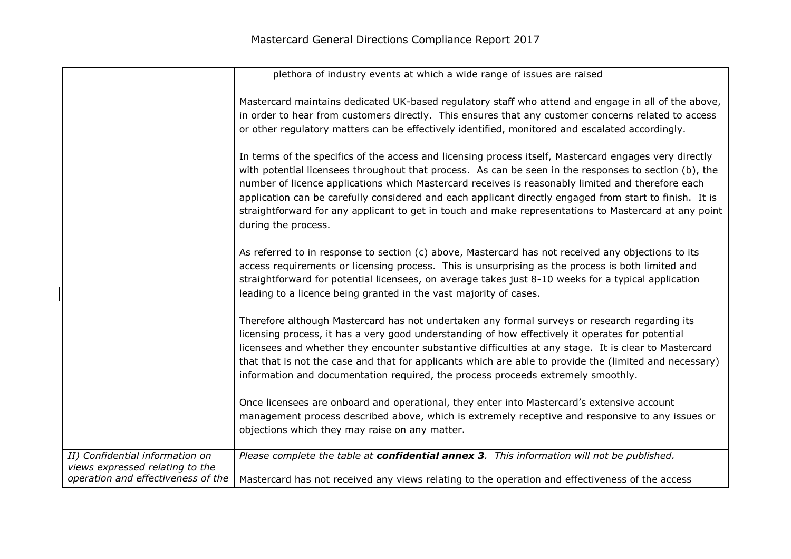|                                                                    | plethora of industry events at which a wide range of issues are raised                                                                                                                                                                                                                                                                                                                                                                                                                                                                                          |
|--------------------------------------------------------------------|-----------------------------------------------------------------------------------------------------------------------------------------------------------------------------------------------------------------------------------------------------------------------------------------------------------------------------------------------------------------------------------------------------------------------------------------------------------------------------------------------------------------------------------------------------------------|
|                                                                    | Mastercard maintains dedicated UK-based regulatory staff who attend and engage in all of the above,<br>in order to hear from customers directly. This ensures that any customer concerns related to access<br>or other regulatory matters can be effectively identified, monitored and escalated accordingly.                                                                                                                                                                                                                                                   |
|                                                                    |                                                                                                                                                                                                                                                                                                                                                                                                                                                                                                                                                                 |
|                                                                    | In terms of the specifics of the access and licensing process itself, Mastercard engages very directly<br>with potential licensees throughout that process. As can be seen in the responses to section (b), the<br>number of licence applications which Mastercard receives is reasonably limited and therefore each<br>application can be carefully considered and each applicant directly engaged from start to finish. It is<br>straightforward for any applicant to get in touch and make representations to Mastercard at any point<br>during the process. |
|                                                                    | As referred to in response to section (c) above, Mastercard has not received any objections to its<br>access requirements or licensing process. This is unsurprising as the process is both limited and<br>straightforward for potential licensees, on average takes just 8-10 weeks for a typical application<br>leading to a licence being granted in the vast majority of cases.                                                                                                                                                                             |
|                                                                    | Therefore although Mastercard has not undertaken any formal surveys or research regarding its<br>licensing process, it has a very good understanding of how effectively it operates for potential<br>licensees and whether they encounter substantive difficulties at any stage. It is clear to Mastercard<br>that that is not the case and that for applicants which are able to provide the (limited and necessary)<br>information and documentation required, the process proceeds extremely smoothly.                                                       |
|                                                                    | Once licensees are onboard and operational, they enter into Mastercard's extensive account<br>management process described above, which is extremely receptive and responsive to any issues or<br>objections which they may raise on any matter.                                                                                                                                                                                                                                                                                                                |
| II) Confidential information on<br>views expressed relating to the | Please complete the table at confidential annex 3. This information will not be published.                                                                                                                                                                                                                                                                                                                                                                                                                                                                      |
| operation and effectiveness of the                                 | Mastercard has not received any views relating to the operation and effectiveness of the access                                                                                                                                                                                                                                                                                                                                                                                                                                                                 |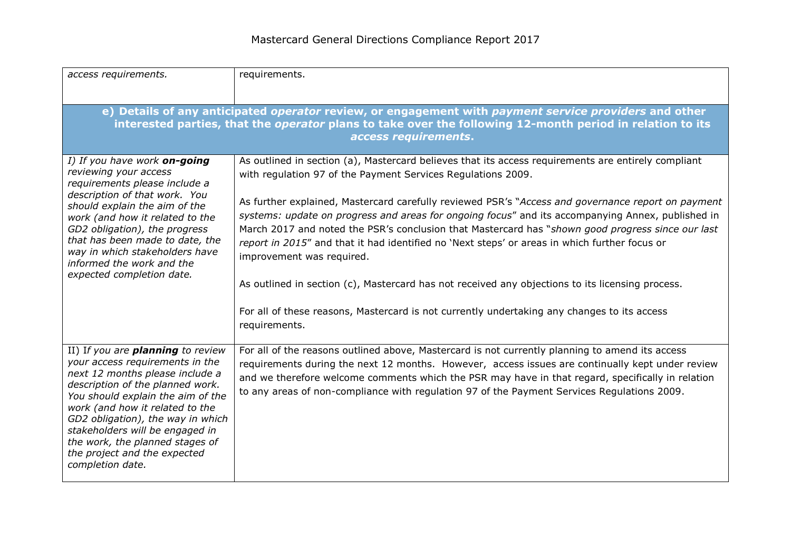| access requirements.                                                                                                                                                                                                                                                                                                                                                                      | requirements.                                                                                                                                                                                                                                                                                                                                                                                                                                                                                                                                                                                                                                                                                                                                                                                                                         |
|-------------------------------------------------------------------------------------------------------------------------------------------------------------------------------------------------------------------------------------------------------------------------------------------------------------------------------------------------------------------------------------------|---------------------------------------------------------------------------------------------------------------------------------------------------------------------------------------------------------------------------------------------------------------------------------------------------------------------------------------------------------------------------------------------------------------------------------------------------------------------------------------------------------------------------------------------------------------------------------------------------------------------------------------------------------------------------------------------------------------------------------------------------------------------------------------------------------------------------------------|
| e) Details of any anticipated operator review, or engagement with payment service providers and other<br>interested parties, that the operator plans to take over the following 12-month period in relation to its<br>access requirements.                                                                                                                                                |                                                                                                                                                                                                                                                                                                                                                                                                                                                                                                                                                                                                                                                                                                                                                                                                                                       |
| I) If you have work on-going<br>reviewing your access<br>requirements please include a<br>description of that work. You<br>should explain the aim of the<br>work (and how it related to the<br>GD2 obligation), the progress<br>that has been made to date, the<br>way in which stakeholders have<br>informed the work and the<br>expected completion date.                               | As outlined in section (a), Mastercard believes that its access requirements are entirely compliant<br>with regulation 97 of the Payment Services Regulations 2009.<br>As further explained, Mastercard carefully reviewed PSR's "Access and governance report on payment<br>systems: update on progress and areas for ongoing focus" and its accompanying Annex, published in<br>March 2017 and noted the PSR's conclusion that Mastercard has "shown good progress since our last<br>report in 2015" and that it had identified no 'Next steps' or areas in which further focus or<br>improvement was required.<br>As outlined in section (c), Mastercard has not received any objections to its licensing process.<br>For all of these reasons, Mastercard is not currently undertaking any changes to its access<br>requirements. |
| II) If you are <b>planning</b> to review<br>your access requirements in the<br>next 12 months please include a<br>description of the planned work.<br>You should explain the aim of the<br>work (and how it related to the<br>GD2 obligation), the way in which<br>stakeholders will be engaged in<br>the work, the planned stages of<br>the project and the expected<br>completion date. | For all of the reasons outlined above, Mastercard is not currently planning to amend its access<br>requirements during the next 12 months. However, access issues are continually kept under review<br>and we therefore welcome comments which the PSR may have in that regard, specifically in relation<br>to any areas of non-compliance with regulation 97 of the Payment Services Regulations 2009.                                                                                                                                                                                                                                                                                                                                                                                                                               |